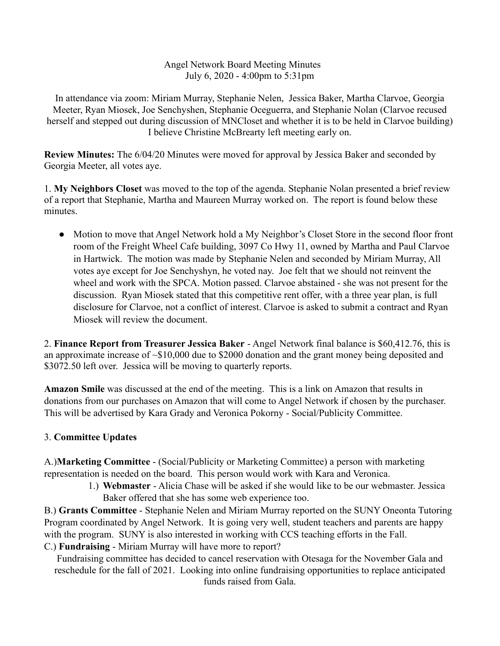Angel Network Board Meeting Minutes July 6, 2020 - 4:00pm to 5:31pm

In attendance via zoom: Miriam Murray, Stephanie Nelen, Jessica Baker, Martha Clarvoe, Georgia Meeter, Ryan Miosek, Joe Senchyshen, Stephanie Oceguerra, and Stephanie Nolan (Clarvoe recused herself and stepped out during discussion of MNCloset and whether it is to be held in Clarvoe building) I believe Christine McBrearty left meeting early on.

**Review Minutes:** The 6/04/20 Minutes were moved for approval by Jessica Baker and seconded by Georgia Meeter, all votes aye.

1. **My Neighbors Closet** was moved to the top of the agenda. Stephanie Nolan presented a brief review of a report that Stephanie, Martha and Maureen Murray worked on. The report is found below these minutes.

• Motion to move that Angel Network hold a My Neighbor's Closet Store in the second floor front room of the Freight Wheel Cafe building, 3097 Co Hwy 11, owned by Martha and Paul Clarvoe in Hartwick. The motion was made by Stephanie Nelen and seconded by Miriam Murray, All votes aye except for Joe Senchyshyn, he voted nay. Joe felt that we should not reinvent the wheel and work with the SPCA. Motion passed. Clarvoe abstained - she was not present for the discussion. Ryan Miosek stated that this competitive rent offer, with a three year plan, is full disclosure for Clarvoe, not a conflict of interest. Clarvoe is asked to submit a contract and Ryan Miosek will review the document.

2. **Finance Report from Treasurer Jessica Baker** - Angel Network final balance is \$60,412.76, this is an approximate increase of ~\$10,000 due to \$2000 donation and the grant money being deposited and \$3072.50 left over. Jessica will be moving to quarterly reports.

**Amazon Smile** was discussed at the end of the meeting. This is a link on Amazon that results in donations from our purchases on Amazon that will come to Angel Network if chosen by the purchaser. This will be advertised by Kara Grady and Veronica Pokorny - Social/Publicity Committee.

## 3. **Committee Updates**

A.)**Marketing Committee** - (Social/Publicity or Marketing Committee) a person with marketing representation is needed on the board. This person would work with Kara and Veronica.

> 1.) **Webmaster** - Alicia Chase will be asked if she would like to be our webmaster. Jessica Baker offered that she has some web experience too.

B.) **Grants Committee** - Stephanie Nelen and Miriam Murray reported on the SUNY Oneonta Tutoring Program coordinated by Angel Network. It is going very well, student teachers and parents are happy with the program. SUNY is also interested in working with CCS teaching efforts in the Fall.

C.) **Fundraising** - Miriam Murray will have more to report?

Fundraising committee has decided to cancel reservation with Otesaga for the November Gala and reschedule for the fall of 2021. Looking into online fundraising opportunities to replace anticipated funds raised from Gala.